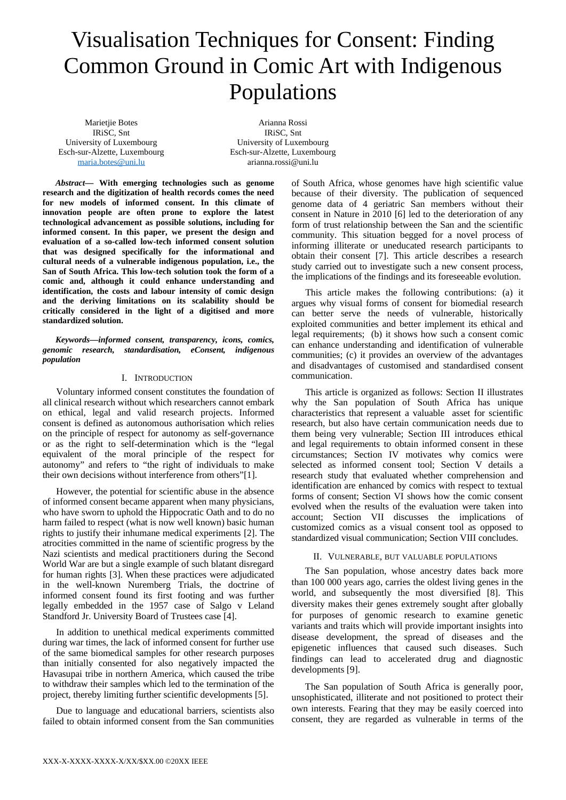# Visualisation Techniques for Consent: Finding Common Ground in Comic Art with Indigenous Populations

Marietiie Botes IRiSC, Snt University of Luxembourg Esch-sur-Alzette, Luxembourg [maria.botes@uni.lu](mailto:maria.botes@uni.lu)

Arianna Rossi IRiSC, Snt University of Luxembourg Esch-sur-Alzette, Luxembourg arianna.rossi@uni.lu

*Abstract***— With emerging technologies such as genome research and the digitization of health records comes the need for new models of informed consent. In this climate of innovation people are often prone to explore the latest technological advancement as possible solutions, including for informed consent. In this paper, we present the design and evaluation of a so-called low-tech informed consent solution that was designed specifically for the informational and cultural needs of a vulnerable indigenous population, i.e., the San of South Africa. This low-tech solution took the form of a comic and, although it could enhance understanding and identification, the costs and labour intensity of comic design and the deriving limitations on its scalability should be critically considered in the light of a digitised and more standardized solution.**

*Keywords—informed consent, transparency, icons, comics, genomic research, standardisation, eConsent, indigenous population*

## I. INTRODUCTION

Voluntary informed consent constitutes the foundation of all clinical research without which researchers cannot embark on ethical, legal and valid research projects. Informed consent is defined as autonomous authorisation which relies on the principle of respect for autonomy as self-governance or as the right to self-determination which is the "legal equivalent of the moral principle of the respect for autonomy" and refers to "the right of individuals to make their own decisions without interference from others"[1].

However, the potential for scientific abuse in the absence of informed consent became apparent when many physicians, who have sworn to uphold the Hippocratic Oath and to do no harm failed to respect (what is now well known) basic human rights to justify their inhumane medical experiments [2]. The atrocities committed in the name of scientific progress by the Nazi scientists and medical practitioners during the Second World War are but a single example of such blatant disregard for human rights [3]. When these practices were adjudicated in the well-known Nuremberg Trials, the doctrine of informed consent found its first footing and was further legally embedded in the 1957 case of Salgo v Leland Standford Jr. University Board of Trustees case [4].

In addition to unethical medical experiments committed during war times, the lack of informed consent for further use of the same biomedical samples for other research purposes than initially consented for also negatively impacted the Havasupai tribe in northern America, which caused the tribe to withdraw their samples which led to the termination of the project, thereby limiting further scientific developments [5].

Due to language and educational barriers, scientists also failed to obtain informed consent from the San communities of South Africa, whose genomes have high scientific value because of their diversity. The publication of sequenced genome data of 4 geriatric San members without their consent in Nature in 2010 [6] led to the deterioration of any form of trust relationship between the San and the scientific community. This situation begged for a novel process of informing illiterate or uneducated research participants to obtain their consent [7]. This article describes a research study carried out to investigate such a new consent process, the implications of the findings and its foreseeable evolution.

This article makes the following contributions: (a) it argues why visual forms of consent for biomedial research can better serve the needs of vulnerable, historically exploited communities and better implement its ethical and legal requirements; (b) it shows how such a consent comic can enhance understanding and identification of vulnerable communities; (c) it provides an overview of the advantages and disadvantages of customised and standardised consent communication.

This article is organized as follows: Section II illustrates why the San population of South Africa has unique characteristics that represent a valuable asset for scientific research, but also have certain communication needs due to them being very vulnerable; Section III introduces ethical and legal requirements to obtain informed consent in these circumstances; Section IV motivates why comics were selected as informed consent tool; Section V details a research study that evaluated whether comprehension and identification are enhanced by comics with respect to textual forms of consent; Section VI shows how the comic consent evolved when the results of the evaluation were taken into account; Section VII discusses the implications of customized comics as a visual consent tool as opposed to standardized visual communication; Section VIII concludes.

### II. VULNERABLE, BUT VALUABLE POPULATIONS

The San population, whose ancestry dates back more than 100 000 years ago, carries the oldest living genes in the world, and subsequently the most diversified [8]. This diversity makes their genes extremely sought after globally for purposes of genomic research to examine genetic variants and traits which will provide important insights into disease development, the spread of diseases and the epigenetic influences that caused such diseases. Such findings can lead to accelerated drug and diagnostic developments [9].

The San population of South Africa is generally poor, unsophisticated, illiterate and not positioned to protect their own interests. Fearing that they may be easily coerced into consent, they are regarded as vulnerable in terms of the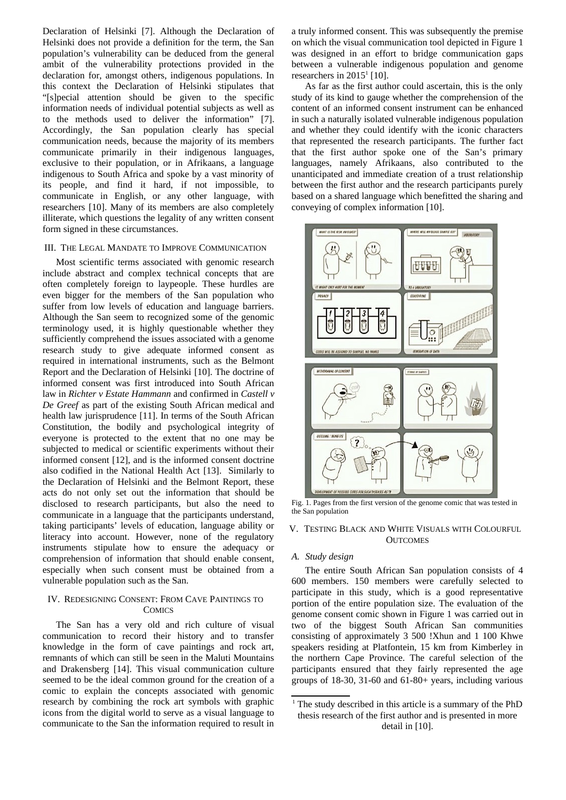Declaration of Helsinki [7]. Although the Declaration of Helsinki does not provide a definition for the term, the San population's vulnerability can be deduced from the general ambit of the vulnerability protections provided in the declaration for, amongst others, indigenous populations. In this context the Declaration of Helsinki stipulates that "[s]pecial attention should be given to the specific information needs of individual potential subjects as well as to the methods used to deliver the information" [7]. Accordingly, the San population clearly has special communication needs, because the majority of its members communicate primarily in their indigenous languages, exclusive to their population, or in Afrikaans, a language indigenous to South Africa and spoke by a vast minority of its people, and find it hard, if not impossible, to communicate in English, or any other language, with researchers [10]. Many of its members are also completely illiterate, which questions the legality of any written consent form signed in these circumstances.

### III. THE LEGAL MANDATE TO IMPROVE COMMUNICATION

Most scientific terms associated with genomic research include abstract and complex technical concepts that are often completely foreign to laypeople. These hurdles are even bigger for the members of the San population who suffer from low levels of education and language barriers. Although the San seem to recognized some of the genomic terminology used, it is highly questionable whether they sufficiently comprehend the issues associated with a genome research study to give adequate informed consent as required in international instruments, such as the Belmont Report and the Declaration of Helsinki [10]. The doctrine of informed consent was first introduced into South African law in *Richter v Estate Hammann* and confirmed in *Castell v De Greef* as part of the existing South African medical and health law jurisprudence [11]. In terms of the South African Constitution, the bodily and psychological integrity of everyone is protected to the extent that no one may be subjected to medical or scientific experiments without their informed consent [12], and is the informed consent doctrine also codified in the National Health Act [13]. Similarly to the Declaration of Helsinki and the Belmont Report, these acts do not only set out the information that should be disclosed to research participants, but also the need to communicate in a language that the participants understand, taking participants' levels of education, language ability or literacy into account. However, none of the regulatory instruments stipulate how to ensure the adequacy or comprehension of information that should enable consent, especially when such consent must be obtained from a vulnerable population such as the San.

## IV. REDESIGNING CONSENT: FROM CAVE PAINTINGS TO **COMICS**

The San has a very old and rich culture of visual communication to record their history and to transfer knowledge in the form of cave paintings and rock art, remnants of which can still be seen in the Maluti Mountains and Drakensberg [14]. This visual communication culture seemed to be the ideal common ground for the creation of a comic to explain the concepts associated with genomic research by combining the rock art symbols with graphic icons from the digital world to serve as a visual language to communicate to the San the information required to result in a truly informed consent. This was subsequently the premise on which the visual communication tool depicted in Figure 1 was designed in an effort to bridge communication gaps between a vulnerable indigenous population and genome researchers in  $2015<sup>1</sup>$  $2015<sup>1</sup>$  $2015<sup>1</sup>$  [10].

As far as the first author could ascertain, this is the only study of its kind to gauge whether the comprehension of the content of an informed consent instrument can be enhanced in such a naturally isolated vulnerable indigenous population and whether they could identify with the iconic characters that represented the research participants. The further fact that the first author spoke one of the San's primary languages, namely Afrikaans, also contributed to the unanticipated and immediate creation of a trust relationship between the first author and the research participants purely based on a shared language which benefitted the sharing and conveying of complex information [10].



Fig. 1. Pages from the first version of the genome comic that was tested in the San population

### V. TESTING BLACK AND WHITE VISUALS WITH COLOURFUL **OUTCOMES**

## *A. Study design*

The entire South African San population consists of 4 600 members. 150 members were carefully selected to participate in this study, which is a good representative portion of the entire population size. The evaluation of the genome consent comic shown in Figure 1 was carried out in two of the biggest South African San communities consisting of approximately 3 500 !Xhun and 1 100 Khwe speakers residing at Platfontein, 15 km from Kimberley in the northern Cape Province. The careful selection of the participants ensured that they fairly represented the age groups of 18-30, 31-60 and 61-80+ years, including various

<span id="page-1-0"></span><sup>&</sup>lt;sup>1</sup> The study described in this article is a summary of the PhD thesis research of the first author and is presented in more detail in [10].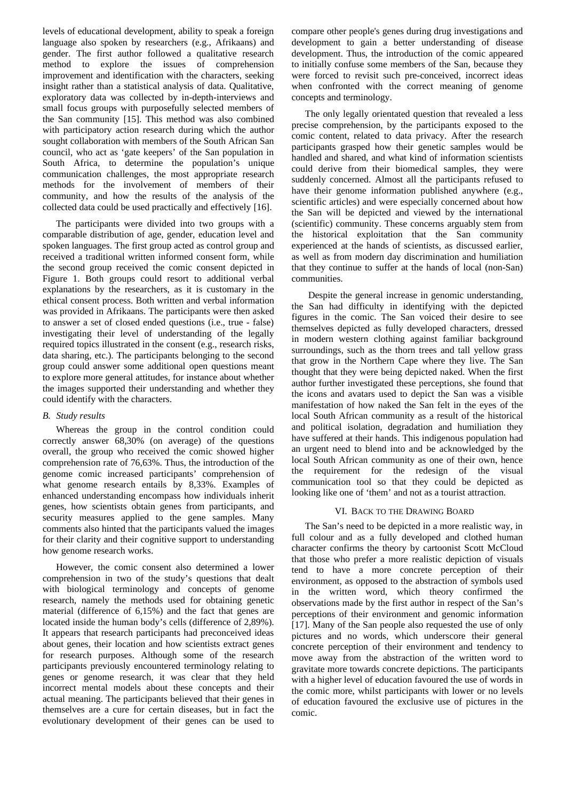levels of educational development, ability to speak a foreign language also spoken by researchers (e.g., Afrikaans) and gender. The first author followed a qualitative research method to explore the issues of comprehension improvement and identification with the characters, seeking insight rather than a statistical analysis of data. Qualitative, exploratory data was collected by in-depth-interviews and small focus groups with purposefully selected members of the San community [15]. This method was also combined with participatory action research during which the author sought collaboration with members of the South African San council, who act as 'gate keepers' of the San population in South Africa, to determine the population's unique communication challenges, the most appropriate research methods for the involvement of members of their community, and how the results of the analysis of the collected data could be used practically and effectively [16].

The participants were divided into two groups with a comparable distribution of age, gender, education level and spoken languages. The first group acted as control group and received a traditional written informed consent form, while the second group received the comic consent depicted in Figure 1. Both groups could resort to additional verbal explanations by the researchers, as it is customary in the ethical consent process. Both written and verbal information was provided in Afrikaans. The participants were then asked to answer a set of closed ended questions (i.e., true - false) investigating their level of understanding of the legally required topics illustrated in the consent (e.g., research risks, data sharing, etc.). The participants belonging to the second group could answer some additional open questions meant to explore more general attitudes, for instance about whether the images supported their understanding and whether they could identify with the characters.

### *B. Study results*

Whereas the group in the control condition could correctly answer 68,30% (on average) of the questions overall, the group who received the comic showed higher comprehension rate of 76,63%. Thus, the introduction of the genome comic increased participants' comprehension of what genome research entails by 8,33%. Examples of enhanced understanding encompass how individuals inherit genes, how scientists obtain genes from participants, and security measures applied to the gene samples. Many comments also hinted that the participants valued the images for their clarity and their cognitive support to understanding how genome research works.

However, the comic consent also determined a lower comprehension in two of the study's questions that dealt with biological terminology and concepts of genome research, namely the methods used for obtaining genetic material (difference of 6,15%) and the fact that genes are located inside the human body's cells (difference of 2,89%). It appears that research participants had preconceived ideas about genes, their location and how scientists extract genes for research purposes. Although some of the research participants previously encountered terminology relating to genes or genome research, it was clear that they held incorrect mental models about these concepts and their actual meaning. The participants believed that their genes in themselves are a cure for certain diseases, but in fact the evolutionary development of their genes can be used to

compare other people's genes during drug investigations and development to gain a better understanding of disease development. Thus, the introduction of the comic appeared to initially confuse some members of the San, because they were forced to revisit such pre-conceived, incorrect ideas when confronted with the correct meaning of genome concepts and terminology.

The only legally orientated question that revealed a less precise comprehension, by the participants exposed to the comic content, related to data privacy. After the research participants grasped how their genetic samples would be handled and shared, and what kind of information scientists could derive from their biomedical samples, they were suddenly concerned. Almost all the participants refused to have their genome information published anywhere (e.g., scientific articles) and were especially concerned about how the San will be depicted and viewed by the international (scientific) community. These concerns arguably stem from the historical exploitation that the San community experienced at the hands of scientists, as discussed earlier, as well as from modern day discrimination and humiliation that they continue to suffer at the hands of local (non-San) communities.

 Despite the general increase in genomic understanding, the San had difficulty in identifying with the depicted figures in the comic. The San voiced their desire to see themselves depicted as fully developed characters, dressed in modern western clothing against familiar background surroundings, such as the thorn trees and tall yellow grass that grow in the Northern Cape where they live. The San thought that they were being depicted naked. When the first author further investigated these perceptions, she found that the icons and avatars used to depict the San was a visible manifestation of how naked the San felt in the eyes of the local South African community as a result of the historical and political isolation, degradation and humiliation they have suffered at their hands. This indigenous population had an urgent need to blend into and be acknowledged by the local South African community as one of their own, hence the requirement for the redesign of the visual communication tool so that they could be depicted as looking like one of 'them' and not as a tourist attraction.

### VI. BACK TO THE DRAWING BOARD

The San's need to be depicted in a more realistic way, in full colour and as a fully developed and clothed human character confirms the theory by cartoonist Scott McCloud that those who prefer a more realistic depiction of visuals tend to have a more concrete perception of their environment, as opposed to the abstraction of symbols used in the written word, which theory confirmed the observations made by the first author in respect of the San's perceptions of their environment and genomic information [17]. Many of the San people also requested the use of only pictures and no words, which underscore their general concrete perception of their environment and tendency to move away from the abstraction of the written word to gravitate more towards concrete depictions. The participants with a higher level of education favoured the use of words in the comic more, whilst participants with lower or no levels of education favoured the exclusive use of pictures in the comic.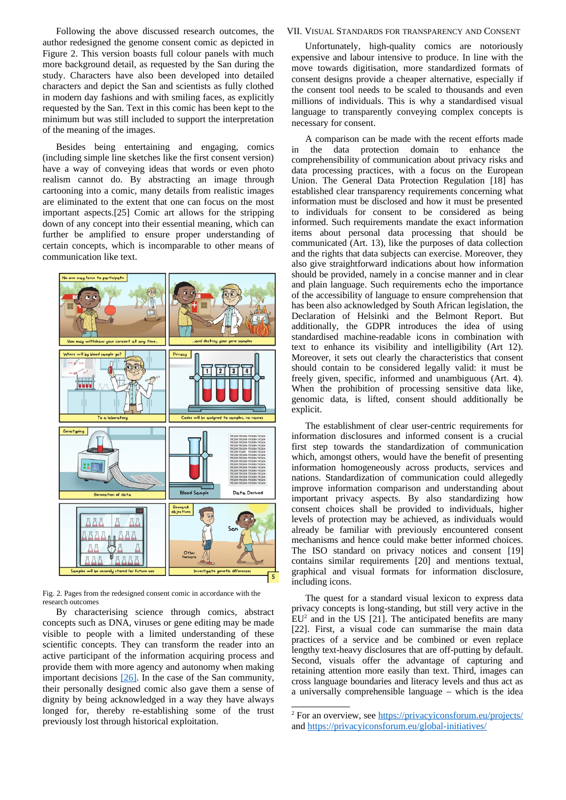Following the above discussed research outcomes, the author redesigned the genome consent comic as depicted in Figure 2. This version boasts full colour panels with much more background detail, as requested by the San during the study. Characters have also been developed into detailed characters and depict the San and scientists as fully clothed in modern day fashions and with smiling faces, as explicitly requested by the San. Text in this comic has been kept to the minimum but was still included to support the interpretation of the meaning of the images.

Besides being entertaining and engaging, comics (including simple line sketches like the first consent version) have a way of conveying ideas that words or even photo realism cannot do. By abstracting an image through cartooning into a comic, many details from realistic images are eliminated to the extent that one can focus on the most important aspects.[25] Comic art allows for the stripping down of any concept into their essential meaning, which can further be amplified to ensure proper understanding of certain concepts, which is incomparable to other means of communication like text.



Fig. 2. Pages from the redesigned consent comic in accordance with the research outcomes

By characterising science through comics, abstract concepts such as DNA, viruses or gene editing may be made visible to people with a limited understanding of these scientific concepts. They can transform the reader into an active participant of the information acquiring process and provide them with more agency and autonomy when making important decisions [\[26\].](https://www.zotero.org/google-docs/?xPQIoW) In the case of the San community, their personally designed comic also gave them a sense of dignity by being acknowledged in a way they have always longed for, thereby re-establishing some of the trust previously lost through historical exploitation.

#### VII. VISUAL STANDARDS FOR TRANSPARENCY AND CONSENT

Unfortunately, high-quality comics are notoriously expensive and labour intensive to produce. In line with the move towards digitisation, more standardized formats of consent designs provide a cheaper alternative, especially if the consent tool needs to be scaled to thousands and even millions of individuals. This is why a standardised visual language to transparently conveying complex concepts is necessary for consent.

A comparison can be made with the recent efforts made in the data protection domain to enhance the comprehensibility of communication about privacy risks and data processing practices, with a focus on the European Union. The General Data Protection Regulation [18] has established clear transparency requirements concerning what information must be disclosed and how it must be presented to individuals for consent to be considered as being informed. Such requirements mandate the exact information items about personal data processing that should be communicated (Art. 13), like the purposes of data collection and the rights that data subjects can exercise. Moreover, they also give straightforward indications about how information should be provided, namely in a concise manner and in clear and plain language. Such requirements echo the importance of the accessibility of language to ensure comprehension that has been also acknowledged by South African legislation, the Declaration of Helsinki and the Belmont Report. But additionally, the GDPR introduces the idea of using standardised machine-readable icons in combination with text to enhance its visibility and intelligibility (Art 12). Moreover, it sets out clearly the characteristics that consent should contain to be considered legally valid: it must be freely given, specific, informed and unambiguous (Art. 4). When the prohibition of processing sensitive data like, genomic data, is lifted, consent should additionally be explicit.

The establishment of clear user-centric requirements for information disclosures and informed consent is a crucial first step towards the standardization of communication which, amongst others, would have the benefit of presenting information homogeneously across products, services and nations. Standardization of communication could allegedly improve information comparison and understanding about important privacy aspects. By also standardizing how consent choices shall be provided to individuals, higher levels of protection may be achieved, as individuals would already be familiar with previously encountered consent mechanisms and hence could make better informed choices. The ISO standard on privacy notices and consent [19] contains similar requirements [20] and mentions textual, graphical and visual formats for information disclosure, including icons.

The quest for a standard visual lexicon to express data privacy concepts is long-standing, but still very active in the  $EU<sup>2</sup>$  $EU<sup>2</sup>$  $EU<sup>2</sup>$  and in the US [21]. The anticipated benefits are many [22]. First, a visual code can summarise the main data practices of a service and be combined or even replace lengthy text-heavy disclosures that are off-putting by default. Second, visuals offer the advantage of capturing and retaining attention more easily than text. Third, images can cross language boundaries and literacy levels and thus act as a universally comprehensible language – which is the idea

<span id="page-3-0"></span><sup>&</sup>lt;sup>2</sup> For an overview, see <https://privacyiconsforum.eu/projects/> and <https://privacyiconsforum.eu/global-initiatives/>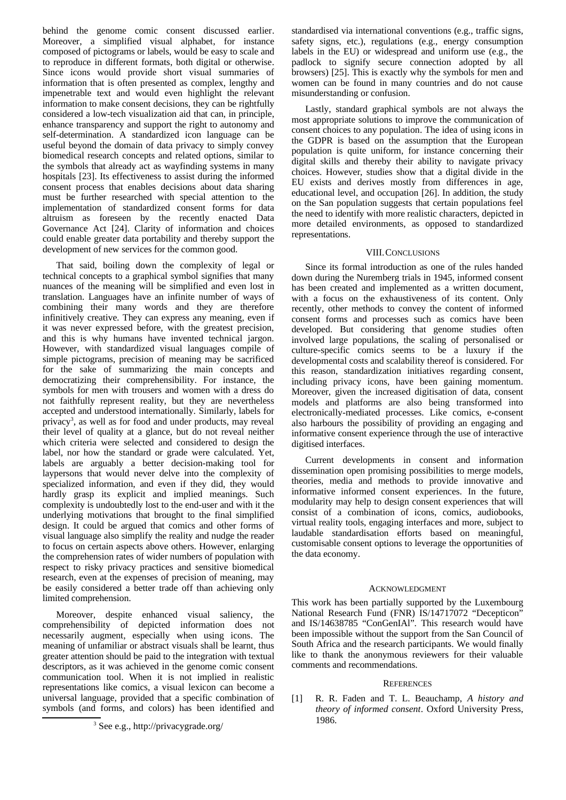behind the genome comic consent discussed earlier. Moreover, a simplified visual alphabet, for instance composed of pictograms or labels, would be easy to scale and to reproduce in different formats, both digital or otherwise. Since icons would provide short visual summaries of information that is often presented as complex, lengthy and impenetrable text and would even highlight the relevant information to make consent decisions, they can be rightfully considered a low-tech visualization aid that can, in principle, enhance transparency and support the right to autonomy and self-determination. A standardized icon language can be useful beyond the domain of data privacy to simply convey biomedical research concepts and related options, similar to the symbols that already act as wayfinding systems in many hospitals [23]. Its effectiveness to assist during the informed consent process that enables decisions about data sharing must be further researched with special attention to the implementation of standardized consent forms for data altruism as foreseen by the recently enacted Data Governance Act [24]. Clarity of information and choices could enable greater data portability and thereby support the development of new services for the common good.

That said, boiling down the complexity of legal or technical concepts to a graphical symbol signifies that many nuances of the meaning will be simplified and even lost in translation. Languages have an infinite number of ways of combining their many words and they are therefore infinitively creative. They can express any meaning, even if it was never expressed before, with the greatest precision, and this is why humans have invented technical jargon. However, with standardized visual languages compile of simple pictograms, precision of meaning may be sacrificed for the sake of summarizing the main concepts and democratizing their comprehensibility. For instance, the symbols for men with trousers and women with a dress do not faithfully represent reality, but they are nevertheless accepted and understood internationally. Similarly, labels for privacy<sup>[3](#page-4-0)</sup>, as well as for food and under products, may reveal their level of quality at a glance, but do not reveal neither which criteria were selected and considered to design the label, nor how the standard or grade were calculated. Yet, labels are arguably a better decision-making tool for laypersons that would never delve into the complexity of specialized information, and even if they did, they would hardly grasp its explicit and implied meanings. Such complexity is undoubtedly lost to the end-user and with it the underlying motivations that brought to the final simplified design. It could be argued that comics and other forms of visual language also simplify the reality and nudge the reader to focus on certain aspects above others. However, enlarging the comprehension rates of wider numbers of population with respect to risky privacy practices and sensitive biomedical research, even at the expenses of precision of meaning, may be easily considered a better trade off than achieving only limited comprehension.

Moreover, despite enhanced visual saliency, the comprehensibility of depicted information does not necessarily augment, especially when using icons. The meaning of unfamiliar or abstract visuals shall be learnt, thus greater attention should be paid to the integration with textual descriptors, as it was achieved in the genome comic consent communication tool. When it is not implied in realistic representations like comics, a visual lexicon can become a universal language, provided that a specific combination of symbols (and forms, and colors) has been identified and

<span id="page-4-0"></span><sup>3</sup> See e.g., http://privacygrade.org/

standardised via international conventions (e.g., traffic signs, safety signs, etc.), regulations (e.g., energy consumption labels in the EU) or widespread and uniform use (e.g., the padlock to signify secure connection adopted by all browsers) [25]. This is exactly why the symbols for men and women can be found in many countries and do not cause misunderstanding or confusion.

Lastly, standard graphical symbols are not always the most appropriate solutions to improve the communication of consent choices to any population. The idea of using icons in the GDPR is based on the assumption that the European population is quite uniform, for instance concerning their digital skills and thereby their ability to navigate privacy choices. However, studies show that a digital divide in the EU exists and derives mostly from differences in age, educational level, and occupation [26]. In addition, the study on the San population suggests that certain populations feel the need to identify with more realistic characters, depicted in more detailed environments, as opposed to standardized representations.

#### VIII.CONCLUSIONS

Since its formal introduction as one of the rules handed down during the Nuremberg trials in 1945, informed consent has been created and implemented as a written document, with a focus on the exhaustiveness of its content. Only recently, other methods to convey the content of informed consent forms and processes such as comics have been developed. But considering that genome studies often involved large populations, the scaling of personalised or culture-specific comics seems to be a luxury if the developmental costs and scalability thereof is considered. For this reason, standardization initiatives regarding consent, including privacy icons, have been gaining momentum. Moreover, given the increased digitisation of data, consent models and platforms are also being transformed into electronically-mediated processes. Like comics, e-consent also harbours the possibility of providing an engaging and informative consent experience through the use of interactive digitised interfaces.

Current developments in consent and information dissemination open promising possibilities to merge models, theories, media and methods to provide innovative and informative informed consent experiences*.* In the future, modularity may help to design consent experiences that will consist of a combination of icons, comics, audiobooks, virtual reality tools, engaging interfaces and more, subject to laudable standardisation efforts based on meaningful, customisable consent options to leverage the opportunities of the data economy.

#### ACKNOWLEDGMENT

This work has been partially supported by the Luxembourg National Research Fund (FNR) IS/14717072 "Decepticon" and IS/14638785 "ConGenIAl". This research would have been impossible without the support from the San Council of South Africa and the research participants. We would finally like to thank the anonymous reviewers for their valuable comments and recommendations.

#### **REFERENCES**

[1] R. R. Faden and T. L. Beauchamp, *A history and theory of informed consent*. Oxford University Press, 1986.